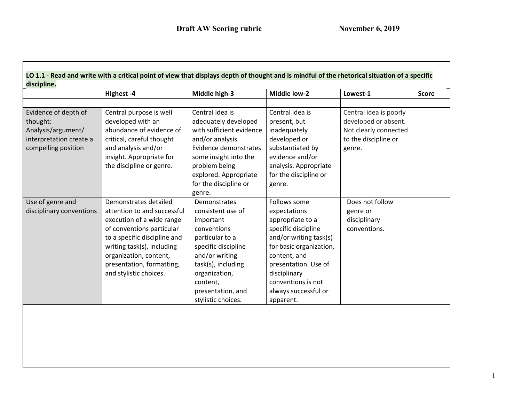|                                                                                                          | Highest-4                                                                                                                                                                                                                                                     | Middle high-3                                                                                                                                                                                                           | <b>Middle low-2</b>                                                                                                                                                                                                                             | Lowest-1                                                                                                  | <b>Score</b> |
|----------------------------------------------------------------------------------------------------------|---------------------------------------------------------------------------------------------------------------------------------------------------------------------------------------------------------------------------------------------------------------|-------------------------------------------------------------------------------------------------------------------------------------------------------------------------------------------------------------------------|-------------------------------------------------------------------------------------------------------------------------------------------------------------------------------------------------------------------------------------------------|-----------------------------------------------------------------------------------------------------------|--------------|
|                                                                                                          |                                                                                                                                                                                                                                                               |                                                                                                                                                                                                                         |                                                                                                                                                                                                                                                 |                                                                                                           |              |
| Evidence of depth of<br>thought:<br>Analysis/argument/<br>interpretation create a<br>compelling position | Central purpose is well<br>developed with an<br>abundance of evidence of<br>critical, careful thought<br>and analysis and/or<br>insight. Appropriate for<br>the discipline or genre.                                                                          | Central idea is<br>adequately developed<br>with sufficient evidence<br>and/or analysis.<br>Evidence demonstrates<br>some insight into the<br>problem being<br>explored. Appropriate<br>for the discipline or<br>genre.  | Central idea is<br>present, but<br>inadequately<br>developed or<br>substantiated by<br>evidence and/or<br>analysis. Appropriate<br>for the discipline or<br>genre.                                                                              | Central idea is poorly<br>developed or absent.<br>Not clearly connected<br>to the discipline or<br>genre. |              |
| Use of genre and<br>disciplinary conventions                                                             | Demonstrates detailed<br>attention to and successful<br>execution of a wide range<br>of conventions particular<br>to a specific discipline and<br>writing task(s), including<br>organization, content,<br>presentation, formatting,<br>and stylistic choices. | Demonstrates<br>consistent use of<br>important<br>conventions<br>particular to a<br>specific discipline<br>and/or writing<br>task(s), including<br>organization,<br>content,<br>presentation, and<br>stylistic choices. | Follows some<br>expectations<br>appropriate to a<br>specific discipline<br>and/or writing task(s)<br>for basic organization,<br>content, and<br>presentation. Use of<br>disciplinary<br>conventions is not<br>always successful or<br>apparent. | Does not follow<br>genre or<br>disciplinary<br>conventions.                                               |              |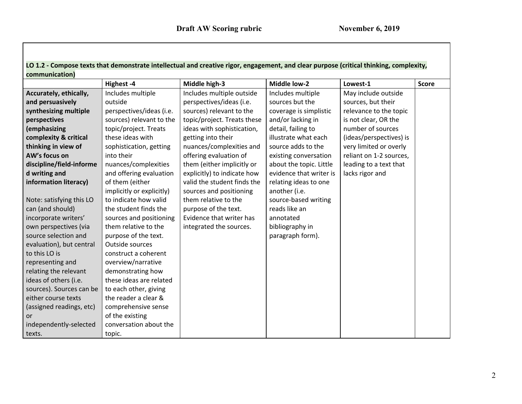| LO 1.2 - Compose texts that demonstrate intellectual and creative rigor, engagement, and clear purpose (critical thinking, complexity, |  |
|----------------------------------------------------------------------------------------------------------------------------------------|--|
| communication)                                                                                                                         |  |

|                          | Highest-4                 | Middle high-3               | <b>Middle low-2</b>     | Lowest-1                | <b>Score</b> |
|--------------------------|---------------------------|-----------------------------|-------------------------|-------------------------|--------------|
| Accurately, ethically,   | Includes multiple         | Includes multiple outside   | Includes multiple       | May include outside     |              |
| and persuasively         | outside                   | perspectives/ideas (i.e.    | sources but the         | sources, but their      |              |
| synthesizing multiple    | perspectives/ideas (i.e.  | sources) relevant to the    | coverage is simplistic  | relevance to the topic  |              |
| perspectives             | sources) relevant to the  | topic/project. Treats these | and/or lacking in       | is not clear, OR the    |              |
| (emphasizing             | topic/project. Treats     | ideas with sophistication,  | detail, failing to      | number of sources       |              |
| complexity & critical    | these ideas with          | getting into their          | illustrate what each    | (ideas/perspectives) is |              |
| thinking in view of      | sophistication, getting   | nuances/complexities and    | source adds to the      | very limited or overly  |              |
| AW's focus on            | into their                | offering evaluation of      | existing conversation   | reliant on 1-2 sources, |              |
| discipline/field-informe | nuances/complexities      | them (either implicitly or  | about the topic. Little | leading to a text that  |              |
| d writing and            | and offering evaluation   | explicitly) to indicate how | evidence that writer is | lacks rigor and         |              |
| information literacy)    | of them (either           | valid the student finds the | relating ideas to one   |                         |              |
|                          | implicitly or explicitly) | sources and positioning     | another (i.e.           |                         |              |
| Note: satisfying this LO | to indicate how valid     | them relative to the        | source-based writing    |                         |              |
| can (and should)         | the student finds the     | purpose of the text.        | reads like an           |                         |              |
| incorporate writers'     | sources and positioning   | Evidence that writer has    | annotated               |                         |              |
| own perspectives (via    | them relative to the      | integrated the sources.     | bibliography in         |                         |              |
| source selection and     | purpose of the text.      |                             | paragraph form).        |                         |              |
| evaluation), but central | Outside sources           |                             |                         |                         |              |
| to this LO is            | construct a coherent      |                             |                         |                         |              |
| representing and         | overview/narrative        |                             |                         |                         |              |
| relating the relevant    | demonstrating how         |                             |                         |                         |              |
| ideas of others (i.e.    | these ideas are related   |                             |                         |                         |              |
| sources). Sources can be | to each other, giving     |                             |                         |                         |              |
| either course texts      | the reader a clear &      |                             |                         |                         |              |
| (assigned readings, etc) | comprehensive sense       |                             |                         |                         |              |
| or                       | of the existing           |                             |                         |                         |              |
| independently-selected   | conversation about the    |                             |                         |                         |              |
| texts.                   | topic.                    |                             |                         |                         |              |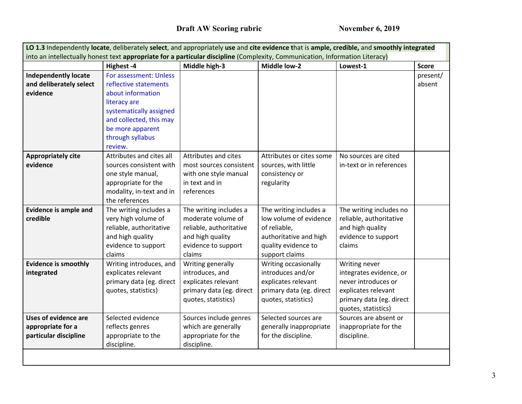|                              | Highest-4                | Middle high-3            | <b>Middle low-2</b>      | Lowest-1                 | <b>Score</b> |
|------------------------------|--------------------------|--------------------------|--------------------------|--------------------------|--------------|
| <b>Independently locate</b>  | For assessment: Unless   |                          |                          |                          | present/     |
| and deliberately select      | reflective statements    |                          |                          |                          | absent       |
| evidence                     | about information        |                          |                          |                          |              |
|                              | literacy are             |                          |                          |                          |              |
|                              | systematically assigned  |                          |                          |                          |              |
|                              | and collected, this may  |                          |                          |                          |              |
|                              | be more apparent         |                          |                          |                          |              |
|                              | through syllabus         |                          |                          |                          |              |
|                              | review.                  |                          |                          |                          |              |
| <b>Appropriately cite</b>    | Attributes and cites all | Attributes and cites     | Attributes or cites some | No sources are cited     |              |
| evidence                     | sources consistent with  | most sources consistent  | sources, with little     | in-text or in references |              |
|                              | one style manual,        | with one style manual    | consistency or           |                          |              |
|                              | appropriate for the      | in text and in           | regularity               |                          |              |
|                              | modality, in-text and in | references               |                          |                          |              |
|                              | the references           |                          |                          |                          |              |
| <b>Evidence is ample and</b> | The writing includes a   | The writing includes a   | The writing includes a   | The writing includes no  |              |
| credible                     | very high volume of      | moderate volume of       | low volume of evidence   | reliable, authoritative  |              |
|                              | reliable, authoritative  | reliable, authoritative  | of reliable,             | and high quality         |              |
|                              | and high quality         | and high quality         | authoritative and high   | evidence to support      |              |
|                              | evidence to support      | evidence to support      | quality evidence to      | claims                   |              |
|                              | claims                   | claims                   | support claims           |                          |              |
| <b>Evidence is smoothly</b>  | Writing introduces, and  | Writing generally        | Writing occasionally     | Writing never            |              |
| integrated                   | explicates relevant      | introduces, and          | introduces and/or        | integrates evidence, or  |              |
|                              | primary data (eg. direct | explicates relevant      | explicates relevant      | never introduces or      |              |
|                              | quotes, statistics)      | primary data (eg. direct | primary data (eg. direct | explicates relevant      |              |
|                              |                          | quotes, statistics)      | quotes, statistics)      | primary data (eg. direct |              |
|                              |                          |                          |                          | quotes, statistics)      |              |
| <b>Uses of evidence are</b>  | Selected evidence        | Sources include genres   | Selected sources are     | Sources are absent or    |              |
| appropriate for a            | reflects genres          | which are generally      | generally inappropriate  | inappropriate for the    |              |
| particular discipline        | appropriate to the       | appropriate for the      | for the discipline.      | discipline.              |              |
|                              | discipline.              | discipline.              |                          |                          |              |